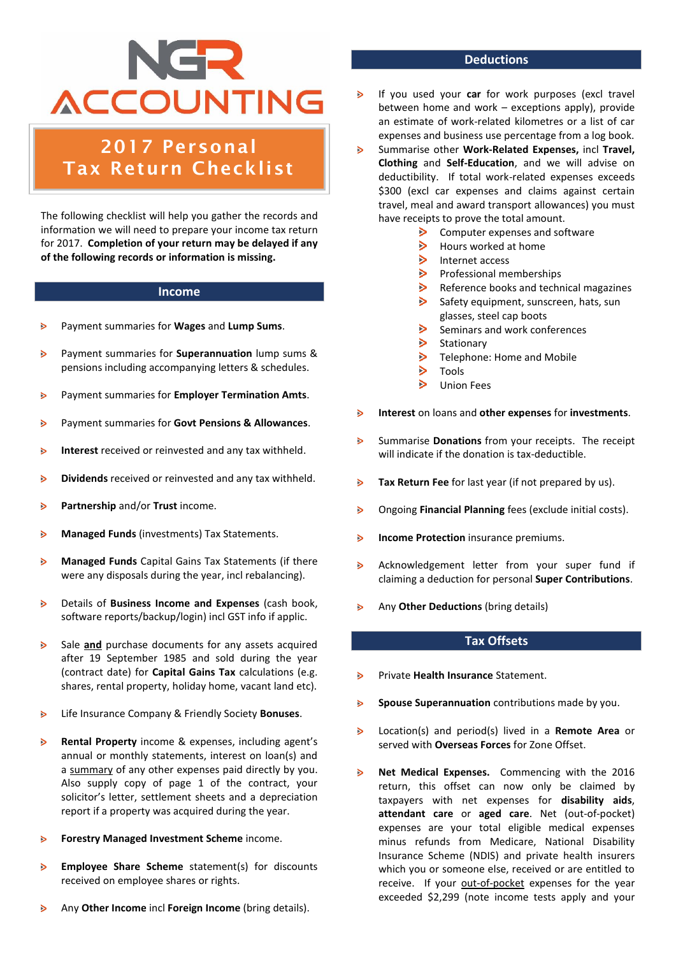## NGR **ACCOUNTING**

### 2017 Personal Tax Return Checklist

The following checklist will help you gather the records and information we will need to prepare your income tax return for 2017. **Completion of your return may be delayed if any of the following records or information is missing.**

#### **Income**

- Payment summaries for **Wages** and **Lump Sums**. ь
- $\triangleright$ Payment summaries for **Superannuation** lump sums & pensions including accompanying letters & schedules.
- $\mathbf{B}$ Payment summaries for **Employer Termination Amts**.
- $\triangleright$ Payment summaries for **Govt Pensions & Allowances**.
- ь **Interest** received or reinvested and any tax withheld.
- **Dividends** received or reinvested and any tax withheld.  $\triangleright$
- $\triangleright$ **Partnership** and/or **Trust** income.
- **Managed Funds** (investments) Tax Statements. ь
- $\triangleright$ **Managed Funds** Capital Gains Tax Statements (if there were any disposals during the year, incl rebalancing).
- $\triangleright$ Details of **Business Income and Expenses** (cash book, software reports/backup/login) incl GST info if applic.
- $\triangleright$ Sale **and** purchase documents for any assets acquired after 19 September 1985 and sold during the year (contract date) for **Capital Gains Tax** calculations (e.g. shares, rental property, holiday home, vacant land etc).
- Life Insurance Company & Friendly Society **Bonuses**.  $\triangleright$
- $\triangleright$ **Rental Property** income & expenses, including agent's annual or monthly statements, interest on loan(s) and a summary of any other expenses paid directly by you. Also supply copy of page 1 of the contract, your solicitor's letter, settlement sheets and a depreciation report if a property was acquired during the year.
- **Forestry Managed Investment Scheme** income.  $\triangleright$
- **Employee Share Scheme** statement(s) for discounts  $\triangleright$ received on employee shares or rights.
- ь Any **Other Income** incl **Foreign Income** (bring details).

#### **Deductions**

- If you used your **car** for work purposes (excl travel between home and work – exceptions apply), provide an estimate of work-related kilometres or a list of car expenses and business use percentage from a log book.
- $\triangleright$ Summarise other **Work-Related Expenses,** incl **Travel, Clothing** and **Self-Education**, and we will advise on deductibility. If total work-related expenses exceeds \$300 (excl car expenses and claims against certain travel, meal and award transport allowances) you must have receipts to prove the total amount.
	- $\triangleright$ Computer expenses and software
	- $\triangleright$ Hours worked at home
	- $\triangleright$ Internet access
	- $\triangleright$ Professional memberships
	- $\triangleright$ Reference books and technical magazines
	- $\triangleright$ Safety equipment, sunscreen, hats, sun glasses, steel cap boots
	- $\triangleright$ Seminars and work conferences
	- $\triangleright$ Stationary
	- $\triangleright$ Telephone: Home and Mobile
	- $\triangleright$ Tools
	- $\triangleright$ Union Fees
- **Interest** on loans and **other expenses** for **investments**.  $\triangleright$
- Summarise **Donations** from your receipts.The receipt  $\triangleright$ will indicate if the donation is tax-deductible.
- **Tax Return Fee** for last year (if not prepared by us).  $\triangleright$
- Ongoing **Financial Planning** fees (exclude initial costs).  $\triangleright$
- $\triangleright$ **Income Protection** insurance premiums.
- Acknowledgement letter from your super fund if  $\triangleright$ claiming a deduction for personal **Super Contributions**.
- $\mathbf{S}$ Any **Other Deductions** (bring details)

#### **Tax Offsets**

- Private **Health Insurance** Statement.  $\triangleright$
- **Spouse Superannuation** contributions made by you.  $\triangleright$
- Location(s) and period(s) lived in a **Remote Area** or  $\triangleright$ served with **Overseas Forces** for Zone Offset.
- $\mathbf{B}$ **Net Medical Expenses.** Commencing with the 2016 return, this offset can now only be claimed by taxpayers with net expenses for **disability aids**, **attendant care** or **aged care**. Net (out-of-pocket) expenses are your total eligible medical expenses minus refunds from Medicare, National Disability Insurance Scheme (NDIS) and private health insurers which you or someone else, received or are entitled to receive. If your out-of-pocket expenses for the year exceeded \$2,299 (note income tests apply and your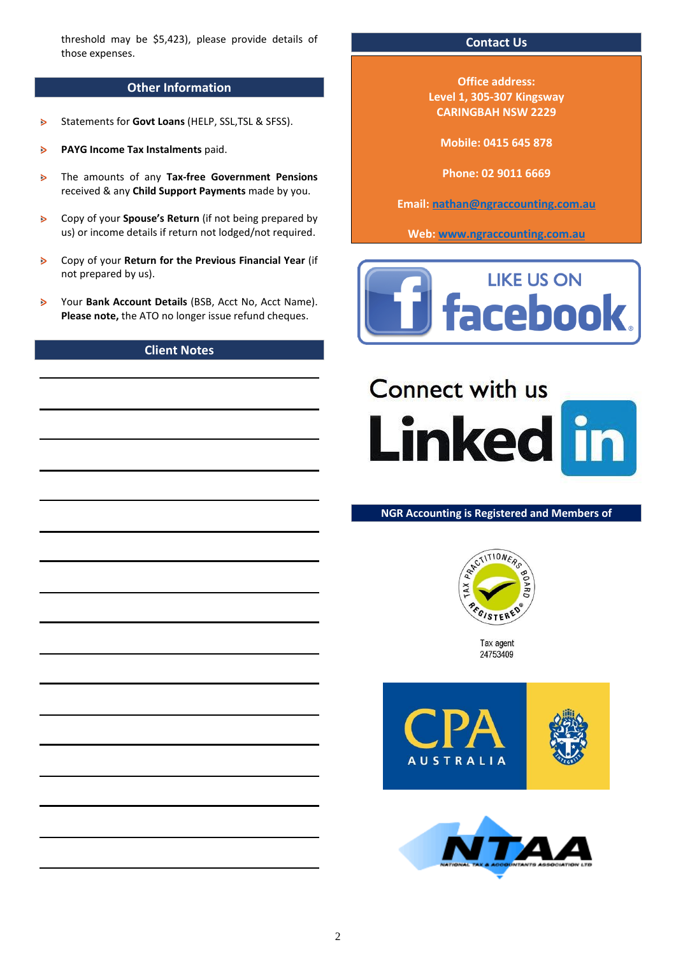threshold may be \$5,423), please provide details of those expenses.

#### **Other Information**

- Statements for **Govt Loans** (HELP, SSL,TSL & SFSS).  $\ddot{\phantom{1}}$
- **PAYG Income Tax Instalments** paid. è
- The amounts of any **Tax-free Government Pensions**  $\triangleright$ received & any **Child Support Payments** made by you.
- Copy of your **Spouse's Return** (if not being prepared by  $\triangleright$ us) or income details if return not lodged/not required.
- Copy of your **Return for the Previous Financial Year** (if  $\triangleright$ not prepared by us).
- $\triangleright$ Your **Bank Account Details** (BSB, Acct No, Acct Name). **Please note,** the ATO no longer issue refund cheques.

#### **Client Notes**

#### **Contact Us**

**Office address: Level 1, 305-307 Kingsway CARINGBAH NSW 2229**

**Mobile: 0415 645 878**

**Phone: 02 9011 6669**

**Email: [nathan@ngraccounting.com.au](mailto:nathan@ngraccounting.com.au)**

**Web: [www.ngraccounting.com.au](http://www.ngraccounting.com.au/)**



# **Connect with us Linked in**

#### **NGR Accounting is Registered and Members of**



Tax agent 24753409